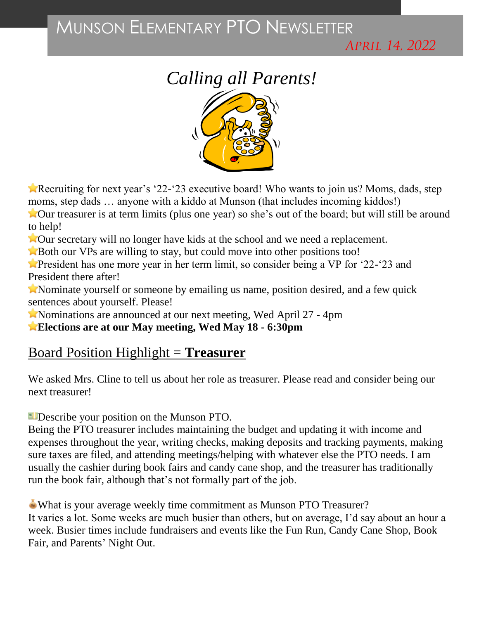# MUNSON ELEMENTARY PTO NEWSLETTER

APRIL 14, 2022

# *Calling all Parents!*



Recruiting for next year's '22-'23 executive board! Who wants to join us? Moms, dads, step moms, step dads ... anyone with a kiddo at Munson (that includes incoming kiddos!)

Our treasurer is at term limits (plus one year) so she's out of the board; but will still be around to help!

**Not** Our secretary will no longer have kids at the school and we need a replacement.

**Both our VPs are willing to stay, but could move into other positions too!** 

**President has one more year in her term limit, so consider being a VP for '22-'23 and** President there after!

Nominate yourself or someone by emailing us name, position desired, and a few quick sentences about yourself. Please!

Nominations are announced at our next meeting, Wed April 27 - 4pm

**Elections are at our May meeting, Wed May 18 - 6:30pm**

### Board Position Highlight = **Treasurer**

We asked Mrs. [Cline](https://www.facebook.com/jennifer.e.cline?__cft__%5b0%5d=AZXRKAmzwXi3sMz9Yn9-YI8HvLaOChPe1g5yN2-VTVDfDzGnuJFssvDTw694AtNotDIp2iKxqEbd8ZxkxxfpW4-HIo_hokO09knrd1YLAHgNi8ENsjN4TcNwvZHTttmqi7gBtphOsnUfD3EoYzo--023zQ47NrU2Xa1uOg-3L9KU-PIMDxlJiwgtmQ9A5-WPLbo&__tn__=-%5dK-R) to tell us about her role as treasurer. Please read and consider being our next treasurer!

Describe your position on the Munson PTO.

Being the PTO treasurer includes maintaining the budget and updating it with income and expenses throughout the year, writing checks, making deposits and tracking payments, making sure taxes are filed, and attending meetings/helping with whatever else the PTO needs. I am usually the cashier during book fairs and candy cane shop, and the treasurer has traditionally run the book fair, although that's not formally part of the job.

What is your average weekly time commitment as Munson PTO Treasurer? It varies a lot. Some weeks are much busier than others, but on average, I'd say about an hour a week. Busier times include fundraisers and events like the Fun Run, Candy Cane Shop, Book Fair, and Parents' Night Out.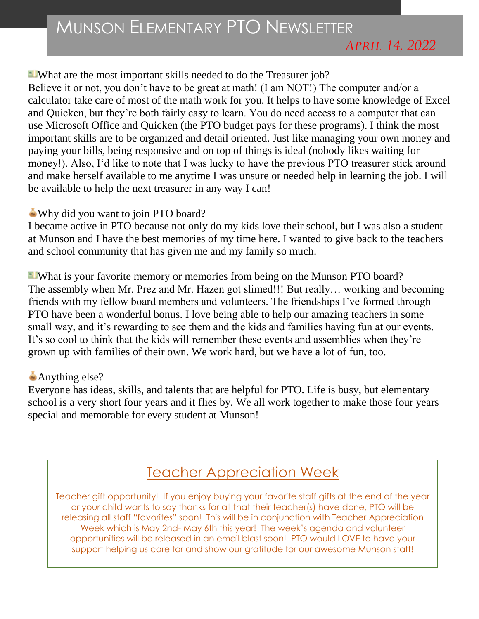#### What are the most important skills needed to do the Treasurer job?

Believe it or not, you don't have to be great at math! (I am NOT!) The computer and/or a calculator take care of most of the math work for you. It helps to have some knowledge of Excel and Quicken, but they're both fairly easy to learn. You do need access to a computer that can use Microsoft Office and Quicken (the PTO budget pays for these programs). I think the most important skills are to be organized and detail oriented. Just like managing your own money and paying your bills, being responsive and on top of things is ideal (nobody likes waiting for money!). Also, I'd like to note that I was lucky to have the previous PTO treasurer stick around and make herself available to me anytime I was unsure or needed help in learning the job. I will be available to help the next treasurer in any way I can!

#### Why did you want to join PTO board?

I became active in PTO because not only do my kids love their school, but I was also a student at Munson and I have the best memories of my time here. I wanted to give back to the teachers and school community that has given me and my family so much.

**N**What is your favorite memory or memories from being on the Munson PTO board? The assembly when Mr. Prez and Mr. Hazen got slimed!!! But really… working and becoming friends with my fellow board members and volunteers. The friendships I've formed through PTO have been a wonderful bonus. I love being able to help our amazing teachers in some small way, and it's rewarding to see them and the kids and families having fun at our events. It's so cool to think that the kids will remember these events and assemblies when they're grown up with families of their own. We work hard, but we have a lot of fun, too.

#### Anything else?

Everyone has ideas, skills, and talents that are helpful for PTO. Life is busy, but elementary school is a very short four years and it flies by. We all work together to make those four years special and memorable for every student at Munson!

## Teacher Appreciation Week

Teacher gift opportunity! If you enjoy buying your favorite staff gifts at the end of the year or your child wants to say thanks for all that their teacher(s) have done, PTO will be releasing all staff "favorites" soon! This will be in conjunction with Teacher Appreciation Week which is May 2nd- May 6th this year! The week's agenda and volunteer opportunities will be released in an email blast soon! PTO would LOVE to have your support helping us care for and show our gratitude for our awesome Munson staff!